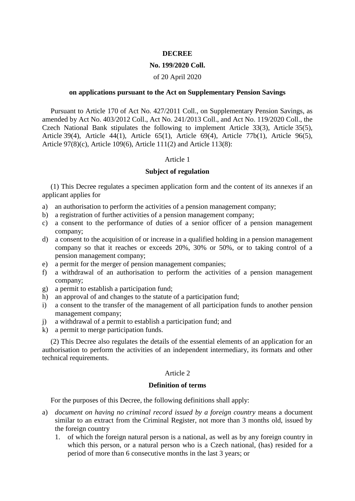#### **DECREE**

#### **No. 199/2020 Coll.**

#### of 20 April 2020

#### **on applications pursuant to the Act on Supplementary Pension Savings**

Pursuant to Article 170 of Act No. 427/2011 Coll., on Supplementary Pension Savings, as amended by Act No. 403/2012 Coll., Act No. 241/2013 Coll., and Act No. 119/2020 Coll., the Czech National Bank stipulates the following to implement Article 33(3), Article 35(5), Article 39(4), Article 44(1), Article 65(1), Article 69(4), Article 77b(1), Article 96(5), Article 97(8)(c), Article 109(6), Article 111(2) and Article 113(8):

#### Article 1

#### **Subject of regulation**

(1) This Decree regulates a specimen application form and the content of its annexes if an applicant applies for

- a) an authorisation to perform the activities of a pension management company;
- b) a registration of further activities of a pension management company;
- c) a consent to the performance of duties of a senior officer of a pension management company;
- d) a consent to the acquisition of or increase in a qualified holding in a pension management company so that it reaches or exceeds 20%, 30% or 50%, or to taking control of a pension management company;
- e) a permit for the merger of pension management companies;
- f) a withdrawal of an authorisation to perform the activities of a pension management company;
- g) a permit to establish a participation fund;
- h) an approval of and changes to the statute of a participation fund;
- i) a consent to the transfer of the management of all participation funds to another pension management company;
- j) a withdrawal of a permit to establish a participation fund; and
- k) a permit to merge participation funds.

(2) This Decree also regulates the details of the essential elements of an application for an authorisation to perform the activities of an independent intermediary, its formats and other technical requirements.

#### Article 2

#### **Definition of terms**

For the purposes of this Decree, the following definitions shall apply:

- a) *document on having no criminal record issued by a foreign country* means a document similar to an extract from the Criminal Register, not more than 3 months old, issued by the foreign country
	- 1. of which the foreign natural person is a national, as well as by any foreign country in which this person, or a natural person who is a Czech national, (has) resided for a period of more than 6 consecutive months in the last 3 years; or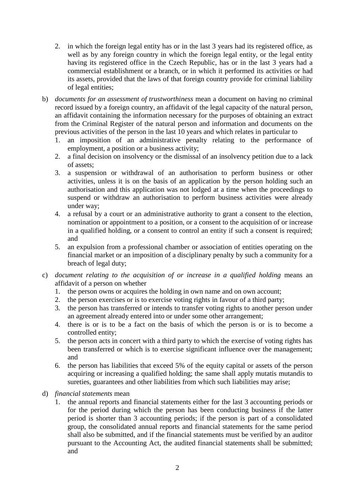- 2. in which the foreign legal entity has or in the last 3 years had its registered office, as well as by any foreign country in which the foreign legal entity, or the legal entity having its registered office in the Czech Republic, has or in the last 3 years had a commercial establishment or a branch, or in which it performed its activities or had its assets, provided that the laws of that foreign country provide for criminal liability of legal entities;
- b) *documents for an assessment of trustworthiness* mean a document on having no criminal record issued by a foreign country, an affidavit of the legal capacity of the natural person, an affidavit containing the information necessary for the purposes of obtaining an extract from the Criminal Register of the natural person and information and documents on the previous activities of the person in the last 10 years and which relates in particular to
	- 1. an imposition of an administrative penalty relating to the performance of employment, a position or a business activity;
	- 2. a final decision on insolvency or the dismissal of an insolvency petition due to a lack of assets;
	- 3. a suspension or withdrawal of an authorisation to perform business or other activities, unless it is on the basis of an application by the person holding such an authorisation and this application was not lodged at a time when the proceedings to suspend or withdraw an authorisation to perform business activities were already under way;
	- 4. a refusal by a court or an administrative authority to grant a consent to the election, nomination or appointment to a position, or a consent to the acquisition of or increase in a qualified holding, or a consent to control an entity if such a consent is required; and
	- 5. an expulsion from a professional chamber or association of entities operating on the financial market or an imposition of a disciplinary penalty by such a community for a breach of legal duty;
- c) *document relating to the acquisition of or increase in a qualified holding* means an affidavit of a person on whether
	- 1. the person owns or acquires the holding in own name and on own account;
	- 2. the person exercises or is to exercise voting rights in favour of a third party;
	- 3. the person has transferred or intends to transfer voting rights to another person under an agreement already entered into or under some other arrangement;
	- 4. there is or is to be a fact on the basis of which the person is or is to become a controlled entity;
	- 5. the person acts in concert with a third party to which the exercise of voting rights has been transferred or which is to exercise significant influence over the management; and
	- 6. the person has liabilities that exceed 5% of the equity capital or assets of the person acquiring or increasing a qualified holding; the same shall apply mutatis mutandis to sureties, guarantees and other liabilities from which such liabilities may arise;
- d) *financial statements* mean
	- 1. the annual reports and financial statements either for the last 3 accounting periods or for the period during which the person has been conducting business if the latter period is shorter than 3 accounting periods; if the person is part of a consolidated group, the consolidated annual reports and financial statements for the same period shall also be submitted, and if the financial statements must be verified by an auditor pursuant to the Accounting Act, the audited financial statements shall be submitted; and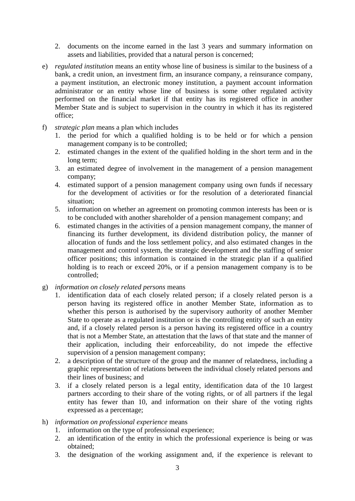- 2. documents on the income earned in the last 3 years and summary information on assets and liabilities, provided that a natural person is concerned;
- e) *regulated institution* means an entity whose line of business is similar to the business of a bank, a credit union, an investment firm, an insurance company, a reinsurance company, a payment institution, an electronic money institution, a payment account information administrator or an entity whose line of business is some other regulated activity performed on the financial market if that entity has its registered office in another Member State and is subject to supervision in the country in which it has its registered office;
- f) *strategic plan* means a plan which includes
	- 1. the period for which a qualified holding is to be held or for which a pension management company is to be controlled;
	- 2. estimated changes in the extent of the qualified holding in the short term and in the long term;
	- 3. an estimated degree of involvement in the management of a pension management company;
	- 4. estimated support of a pension management company using own funds if necessary for the development of activities or for the resolution of a deteriorated financial situation;
	- 5. information on whether an agreement on promoting common interests has been or is to be concluded with another shareholder of a pension management company; and
	- 6. estimated changes in the activities of a pension management company, the manner of financing its further development, its dividend distribution policy, the manner of allocation of funds and the loss settlement policy, and also estimated changes in the management and control system, the strategic development and the staffing of senior officer positions; this information is contained in the strategic plan if a qualified holding is to reach or exceed 20%, or if a pension management company is to be controlled;
- g) *information on closely related persons* means
	- 1. identification data of each closely related person; if a closely related person is a person having its registered office in another Member State, information as to whether this person is authorised by the supervisory authority of another Member State to operate as a regulated institution or is the controlling entity of such an entity and, if a closely related person is a person having its registered office in a country that is not a Member State, an attestation that the laws of that state and the manner of their application, including their enforceability, do not impede the effective supervision of a pension management company;
	- 2. a description of the structure of the group and the manner of relatedness, including a graphic representation of relations between the individual closely related persons and their lines of business; and
	- 3. if a closely related person is a legal entity, identification data of the 10 largest partners according to their share of the voting rights, or of all partners if the legal entity has fewer than 10, and information on their share of the voting rights expressed as a percentage;
- h) *information on professional experience* means
	- 1. information on the type of professional experience;
	- 2. an identification of the entity in which the professional experience is being or was obtained;
	- 3. the designation of the working assignment and, if the experience is relevant to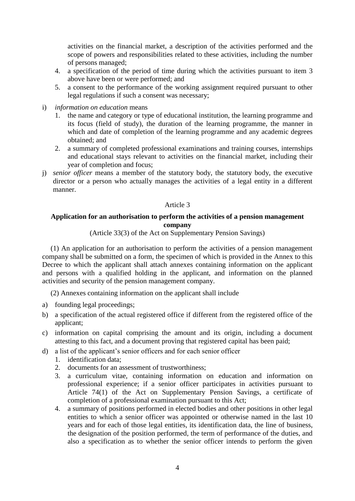activities on the financial market, a description of the activities performed and the scope of powers and responsibilities related to these activities, including the number of persons managed;

- 4. a specification of the period of time during which the activities pursuant to item 3 above have been or were performed; and
- 5. a consent to the performance of the working assignment required pursuant to other legal regulations if such a consent was necessary;
- i) *information on education* means
	- 1. the name and category or type of educational institution, the learning programme and its focus (field of study), the duration of the learning programme, the manner in which and date of completion of the learning programme and any academic degrees obtained; and
	- 2. a summary of completed professional examinations and training courses, internships and educational stays relevant to activities on the financial market, including their year of completion and focus;
- j) *senior officer* means a member of the statutory body, the statutory body, the executive director or a person who actually manages the activities of a legal entity in a different manner.

### Article 3

### **Application for an authorisation to perform the activities of a pension management company**

(Article 33(3) of the Act on Supplementary Pension Savings)

(1) An application for an authorisation to perform the activities of a pension management company shall be submitted on a form, the specimen of which is provided in the Annex to this Decree to which the applicant shall attach annexes containing information on the applicant and persons with a qualified holding in the applicant, and information on the planned activities and security of the pension management company.

(2) Annexes containing information on the applicant shall include

- a) founding legal proceedings;
- b) a specification of the actual registered office if different from the registered office of the applicant;
- c) information on capital comprising the amount and its origin, including a document attesting to this fact, and a document proving that registered capital has been paid;
- d) a list of the applicant's senior officers and for each senior officer
	- 1. identification data;
	- 2. documents for an assessment of trustworthiness;
	- 3. a curriculum vitae, containing information on education and information on professional experience; if a senior officer participates in activities pursuant to Article 74(1) of the Act on Supplementary Pension Savings, a certificate of completion of a professional examination pursuant to this Act;
	- 4. a summary of positions performed in elected bodies and other positions in other legal entities to which a senior officer was appointed or otherwise named in the last 10 years and for each of those legal entities, its identification data, the line of business, the designation of the position performed, the term of performance of the duties, and also a specification as to whether the senior officer intends to perform the given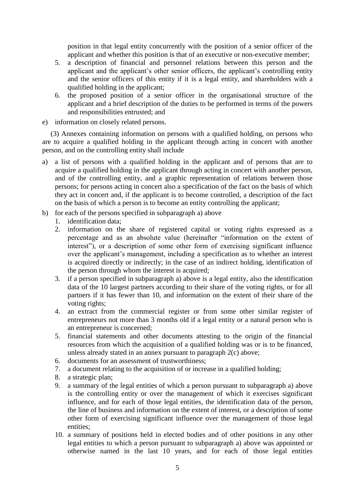position in that legal entity concurrently with the position of a senior officer of the applicant and whether this position is that of an executive or non-executive member;

- 5. a description of financial and personnel relations between this person and the applicant and the applicant's other senior officers, the applicant's controlling entity and the senior officers of this entity if it is a legal entity, and shareholders with a qualified holding in the applicant;
- 6. the proposed position of a senior officer in the organisational structure of the applicant and a brief description of the duties to be performed in terms of the powers and responsibilities entrusted; and
- e) information on closely related persons.

(3) Annexes containing information on persons with a qualified holding, on persons who are to acquire a qualified holding in the applicant through acting in concert with another person, and on the controlling entity shall include

- a) a list of persons with a qualified holding in the applicant and of persons that are to acquire a qualified holding in the applicant through acting in concert with another person, and of the controlling entity, and a graphic representation of relations between those persons; for persons acting in concert also a specification of the fact on the basis of which they act in concert and, if the applicant is to become controlled, a description of the fact on the basis of which a person is to become an entity controlling the applicant;
- b) for each of the persons specified in subparagraph a) above
	- 1. identification data;
	- 2. information on the share of registered capital or voting rights expressed as a percentage and as an absolute value (hereinafter "information on the extent of interest"), or a description of some other form of exercising significant influence over the applicant's management, including a specification as to whether an interest is acquired directly or indirectly; in the case of an indirect holding, identification of the person through whom the interest is acquired;
	- 3. if a person specified in subparagraph a) above is a legal entity, also the identification data of the 10 largest partners according to their share of the voting rights, or for all partners if it has fewer than 10, and information on the extent of their share of the voting rights;
	- 4. an extract from the commercial register or from some other similar register of entrepreneurs not more than 3 months old if a legal entity or a natural person who is an entrepreneur is concerned;
	- 5. financial statements and other documents attesting to the origin of the financial resources from which the acquisition of a qualified holding was or is to be financed, unless already stated in an annex pursuant to paragraph 2(c) above;
	- 6. documents for an assessment of trustworthiness;
	- 7. a document relating to the acquisition of or increase in a qualified holding;
	- 8. a strategic plan;
	- 9. a summary of the legal entities of which a person pursuant to subparagraph a) above is the controlling entity or over the management of which it exercises significant influence, and for each of those legal entities, the identification data of the person, the line of business and information on the extent of interest, or a description of some other form of exercising significant influence over the management of those legal entities;
	- 10. a summary of positions held in elected bodies and of other positions in any other legal entities to which a person pursuant to subparagraph a) above was appointed or otherwise named in the last 10 years, and for each of those legal entities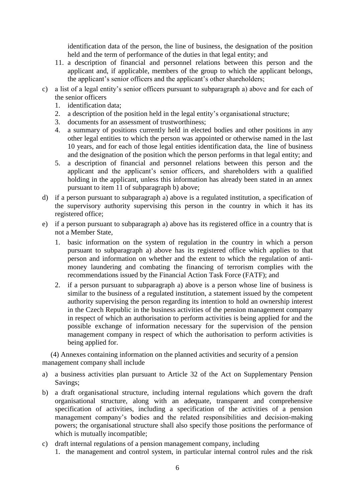identification data of the person, the line of business, the designation of the position held and the term of performance of the duties in that legal entity; and

- 11. a description of financial and personnel relations between this person and the applicant and, if applicable, members of the group to which the applicant belongs, the applicant's senior officers and the applicant's other shareholders;
- c) a list of a legal entity's senior officers pursuant to subparagraph a) above and for each of the senior officers
	- 1. identification data;
	- 2. a description of the position held in the legal entity's organisational structure;
	- 3. documents for an assessment of trustworthiness;
	- 4. a summary of positions currently held in elected bodies and other positions in any other legal entities to which the person was appointed or otherwise named in the last 10 years, and for each of those legal entities identification data, the line of business and the designation of the position which the person performs in that legal entity; and
	- 5. a description of financial and personnel relations between this person and the applicant and the applicant's senior officers, and shareholders with a qualified holding in the applicant, unless this information has already been stated in an annex pursuant to item 11 of subparagraph b) above;
- d) if a person pursuant to subparagraph a) above is a regulated institution, a specification of the supervisory authority supervising this person in the country in which it has its registered office;
- e) if a person pursuant to subparagraph a) above has its registered office in a country that is not a Member State,
	- 1. basic information on the system of regulation in the country in which a person pursuant to subparagraph a) above has its registered office which applies to that person and information on whether and the extent to which the regulation of antimoney laundering and combating the financing of terrorism complies with the recommendations issued by the Financial Action Task Force (FATF); and
	- 2. if a person pursuant to subparagraph a) above is a person whose line of business is similar to the business of a regulated institution, a statement issued by the competent authority supervising the person regarding its intention to hold an ownership interest in the Czech Republic in the business activities of the pension management company in respect of which an authorisation to perform activities is being applied for and the possible exchange of information necessary for the supervision of the pension management company in respect of which the authorisation to perform activities is being applied for.

(4) Annexes containing information on the planned activities and security of a pension management company shall include

- a) a business activities plan pursuant to Article 32 of the Act on Supplementary Pension Savings;
- b) a draft organisational structure, including internal regulations which govern the draft organisational structure, along with an adequate, transparent and comprehensive specification of activities, including a specification of the activities of a pension management company's bodies and the related responsibilities and decision-making powers; the organisational structure shall also specify those positions the performance of which is mutually incompatible:
- c) draft internal regulations of a pension management company, including 1. the management and control system, in particular internal control rules and the risk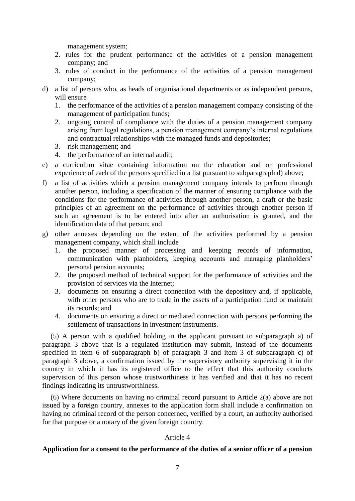management system;

- 2. rules for the prudent performance of the activities of a pension management company; and
- 3. rules of conduct in the performance of the activities of a pension management company;
- d) a list of persons who, as heads of organisational departments or as independent persons, will ensure
	- 1. the performance of the activities of a pension management company consisting of the management of participation funds;
	- 2. ongoing control of compliance with the duties of a pension management company arising from legal regulations, a pension management company's internal regulations and contractual relationships with the managed funds and depositories;
	- 3. risk management; and
	- 4. the performance of an internal audit;
- e) a curriculum vitae containing information on the education and on professional experience of each of the persons specified in a list pursuant to subparagraph d) above;
- f) a list of activities which a pension management company intends to perform through another person, including a specification of the manner of ensuring compliance with the conditions for the performance of activities through another person, a draft or the basic principles of an agreement on the performance of activities through another person if such an agreement is to be entered into after an authorisation is granted, and the identification data of that person; and
- g) other annexes depending on the extent of the activities performed by a pension management company, which shall include
	- 1. the proposed manner of processing and keeping records of information, communication with planholders, keeping accounts and managing planholders' personal pension accounts;
	- 2. the proposed method of technical support for the performance of activities and the provision of services via the Internet;
	- 3. documents on ensuring a direct connection with the depository and, if applicable, with other persons who are to trade in the assets of a participation fund or maintain its records; and
	- 4. documents on ensuring a direct or mediated connection with persons performing the settlement of transactions in investment instruments.

(5) A person with a qualified holding in the applicant pursuant to subparagraph a) of paragraph 3 above that is a regulated institution may submit, instead of the documents specified in item 6 of subparagraph b) of paragraph 3 and item 3 of subparagraph c) of paragraph 3 above, a confirmation issued by the supervisory authority supervising it in the country in which it has its registered office to the effect that this authority conducts supervision of this person whose trustworthiness it has verified and that it has no recent findings indicating its untrustworthiness.

(6) Where documents on having no criminal record pursuant to Article 2(a) above are not issued by a foreign country, annexes to the application form shall include a confirmation on having no criminal record of the person concerned, verified by a court, an authority authorised for that purpose or a notary of the given foreign country.

#### Article 4

#### **Application for a consent to the performance of the duties of a senior officer of a pension**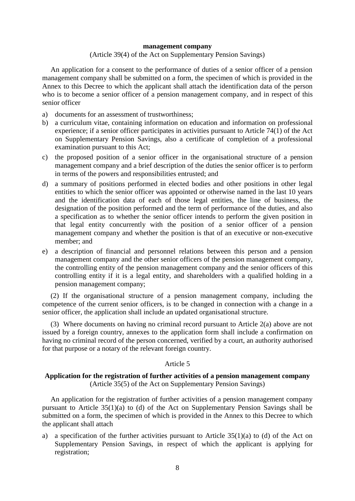#### **management company**

#### (Article 39(4) of the Act on Supplementary Pension Savings)

An application for a consent to the performance of duties of a senior officer of a pension management company shall be submitted on a form, the specimen of which is provided in the Annex to this Decree to which the applicant shall attach the identification data of the person who is to become a senior officer of a pension management company, and in respect of this senior officer

- a) documents for an assessment of trustworthiness;
- b) a curriculum vitae, containing information on education and information on professional experience; if a senior officer participates in activities pursuant to Article 74(1) of the Act on Supplementary Pension Savings, also a certificate of completion of a professional examination pursuant to this Act;
- c) the proposed position of a senior officer in the organisational structure of a pension management company and a brief description of the duties the senior officer is to perform in terms of the powers and responsibilities entrusted; and
- d) a summary of positions performed in elected bodies and other positions in other legal entities to which the senior officer was appointed or otherwise named in the last 10 years and the identification data of each of those legal entities, the line of business, the designation of the position performed and the term of performance of the duties, and also a specification as to whether the senior officer intends to perform the given position in that legal entity concurrently with the position of a senior officer of a pension management company and whether the position is that of an executive or non-executive member; and
- e) a description of financial and personnel relations between this person and a pension management company and the other senior officers of the pension management company, the controlling entity of the pension management company and the senior officers of this controlling entity if it is a legal entity, and shareholders with a qualified holding in a pension management company;

(2) If the organisational structure of a pension management company, including the competence of the current senior officers, is to be changed in connection with a change in a senior officer, the application shall include an updated organisational structure.

(3) Where documents on having no criminal record pursuant to Article 2(a) above are not issued by a foreign country, annexes to the application form shall include a confirmation on having no criminal record of the person concerned, verified by a court, an authority authorised for that purpose or a notary of the relevant foreign country.

#### Article 5

### **Application for the registration of further activities of a pension management company** (Article 35(5) of the Act on Supplementary Pension Savings)

An application for the registration of further activities of a pension management company pursuant to Article 35(1)(a) to (d) of the Act on Supplementary Pension Savings shall be submitted on a form, the specimen of which is provided in the Annex to this Decree to which the applicant shall attach

a) a specification of the further activities pursuant to Article  $35(1)(a)$  to (d) of the Act on Supplementary Pension Savings, in respect of which the applicant is applying for registration;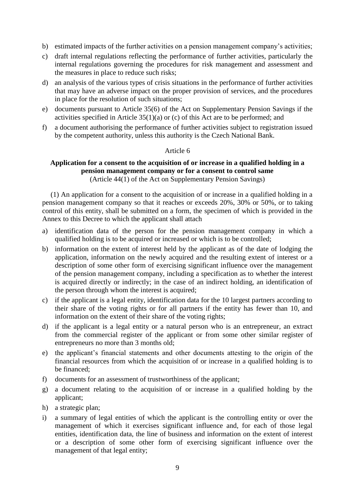- b) estimated impacts of the further activities on a pension management company's activities;
- c) draft internal regulations reflecting the performance of further activities, particularly the internal regulations governing the procedures for risk management and assessment and the measures in place to reduce such risks;
- d) an analysis of the various types of crisis situations in the performance of further activities that may have an adverse impact on the proper provision of services, and the procedures in place for the resolution of such situations;
- e) documents pursuant to Article 35(6) of the Act on Supplementary Pension Savings if the activities specified in Article 35(1)(a) or (c) of this Act are to be performed; and
- f) a document authorising the performance of further activities subject to registration issued by the competent authority, unless this authority is the Czech National Bank.

### Article 6

## **Application for a consent to the acquisition of or increase in a qualified holding in a pension management company or for a consent to control same**

(Article 44(1) of the Act on Supplementary Pension Savings)

(1) An application for a consent to the acquisition of or increase in a qualified holding in a pension management company so that it reaches or exceeds 20%, 30% or 50%, or to taking control of this entity, shall be submitted on a form, the specimen of which is provided in the Annex to this Decree to which the applicant shall attach

- a) identification data of the person for the pension management company in which a qualified holding is to be acquired or increased or which is to be controlled;
- b) information on the extent of interest held by the applicant as of the date of lodging the application, information on the newly acquired and the resulting extent of interest or a description of some other form of exercising significant influence over the management of the pension management company, including a specification as to whether the interest is acquired directly or indirectly; in the case of an indirect holding, an identification of the person through whom the interest is acquired;
- c) if the applicant is a legal entity, identification data for the 10 largest partners according to their share of the voting rights or for all partners if the entity has fewer than 10, and information on the extent of their share of the voting rights;
- d) if the applicant is a legal entity or a natural person who is an entrepreneur, an extract from the commercial register of the applicant or from some other similar register of entrepreneurs no more than 3 months old;
- e) the applicant's financial statements and other documents attesting to the origin of the financial resources from which the acquisition of or increase in a qualified holding is to be financed;
- f) documents for an assessment of trustworthiness of the applicant;
- g) a document relating to the acquisition of or increase in a qualified holding by the applicant;
- h) a strategic plan;
- i) a summary of legal entities of which the applicant is the controlling entity or over the management of which it exercises significant influence and, for each of those legal entities, identification data, the line of business and information on the extent of interest or a description of some other form of exercising significant influence over the management of that legal entity;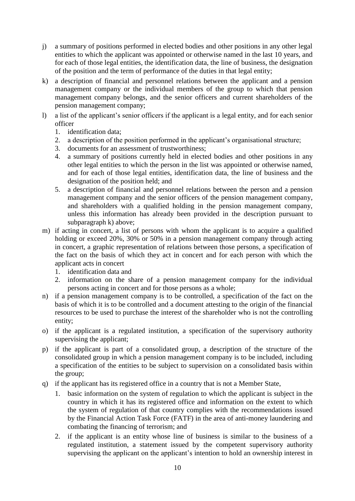- j) a summary of positions performed in elected bodies and other positions in any other legal entities to which the applicant was appointed or otherwise named in the last 10 years, and for each of those legal entities, the identification data, the line of business, the designation of the position and the term of performance of the duties in that legal entity;
- k) a description of financial and personnel relations between the applicant and a pension management company or the individual members of the group to which that pension management company belongs, and the senior officers and current shareholders of the pension management company;
- l) a list of the applicant's senior officers if the applicant is a legal entity, and for each senior officer
	- 1. identification data;
	- 2. a description of the position performed in the applicant's organisational structure;
	- 3. documents for an assessment of trustworthiness;
	- 4. a summary of positions currently held in elected bodies and other positions in any other legal entities to which the person in the list was appointed or otherwise named, and for each of those legal entities, identification data, the line of business and the designation of the position held; and
	- 5. a description of financial and personnel relations between the person and a pension management company and the senior officers of the pension management company, and shareholders with a qualified holding in the pension management company, unless this information has already been provided in the description pursuant to subparagraph k) above;
- m) if acting in concert, a list of persons with whom the applicant is to acquire a qualified holding or exceed 20%, 30% or 50% in a pension management company through acting in concert, a graphic representation of relations between those persons, a specification of the fact on the basis of which they act in concert and for each person with which the applicant acts in concert
	- 1. identification data and
	- 2. information on the share of a pension management company for the individual persons acting in concert and for those persons as a whole;
- n) if a pension management company is to be controlled, a specification of the fact on the basis of which it is to be controlled and a document attesting to the origin of the financial resources to be used to purchase the interest of the shareholder who is not the controlling entity;
- o) if the applicant is a regulated institution, a specification of the supervisory authority supervising the applicant;
- p) if the applicant is part of a consolidated group, a description of the structure of the consolidated group in which a pension management company is to be included, including a specification of the entities to be subject to supervision on a consolidated basis within the group;
- q) if the applicant has its registered office in a country that is not a Member State,
	- 1. basic information on the system of regulation to which the applicant is subject in the country in which it has its registered office and information on the extent to which the system of regulation of that country complies with the recommendations issued by the Financial Action Task Force (FATF) in the area of anti-money laundering and combating the financing of terrorism; and
	- 2. if the applicant is an entity whose line of business is similar to the business of a regulated institution, a statement issued by the competent supervisory authority supervising the applicant on the applicant's intention to hold an ownership interest in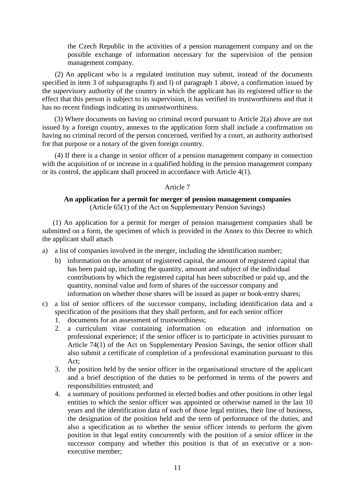the Czech Republic in the activities of a pension management company and on the possible exchange of information necessary for the supervision of the pension management company.

(2) An applicant who is a regulated institution may submit, instead of the documents specified in item 3 of subparagraphs f) and l) of paragraph 1 above, a confirmation issued by the supervisory authority of the country in which the applicant has its registered office to the effect that this person is subject to its supervision, it has verified its trustworthiness and that it has no recent findings indicating its untrustworthiness.

(3) Where documents on having no criminal record pursuant to Article 2(a) above are not issued by a foreign country, annexes to the application form shall include a confirmation on having no criminal record of the person concerned, verified by a court, an authority authorised for that purpose or a notary of the given foreign country.

(4) If there is a change in senior officer of a pension management company in connection with the acquisition of or increase in a qualified holding in the pension management company or its control, the applicant shall proceed in accordance with Article 4(1).

### Article 7

### **An application for a permit for merger of pension management companies** (Article 65(1) of the Act on Supplementary Pension Savings)

(1) An application for a permit for merger of pension management companies shall be submitted on a form, the specimen of which is provided in the Annex to this Decree to which the applicant shall attach

- a) a list of companies involved in the merger, including the identification number;
	- b) information on the amount of registered capital, the amount of registered capital that has been paid up, including the quantity, amount and subject of the individual contributions by which the registered capital has been subscribed or paid up, and the quantity, nominal value and form of shares of the successor company and information on whether those shares will be issued as paper or book-entry shares;
- c) a list of senior officers of the successor company, including identification data and a specification of the positions that they shall perform, and for each senior officer
	- 1. documents for an assessment of trustworthiness;
	- 2. a curriculum vitae containing information on education and information on professional experience; if the senior officer is to participate in activities pursuant to Article 74(1) of the Act on Supplementary Pension Savings, the senior officer shall also submit a certificate of completion of a professional examination pursuant to this Act;
	- 3. the position held by the senior officer in the organisational structure of the applicant and a brief description of the duties to be performed in terms of the powers and responsibilities entrusted; and
	- 4. a summary of positions performed in elected bodies and other positions in other legal entities to which the senior officer was appointed or otherwise named in the last 10 years and the identification data of each of those legal entities, their line of business, the designation of the position held and the term of performance of the duties, and also a specification as to whether the senior officer intends to perform the given position in that legal entity concurrently with the position of a senior officer in the successor company and whether this position is that of an executive or a nonexecutive member;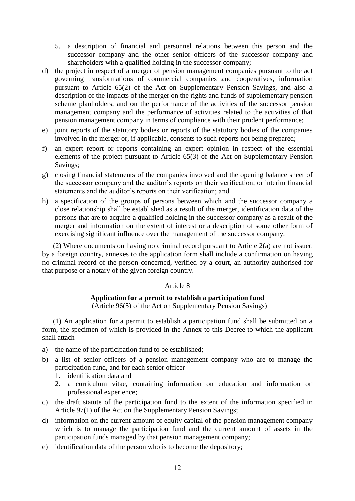5. a description of financial and personnel relations between this person and the successor company and the other senior officers of the successor company and shareholders with a qualified holding in the successor company;

- d) the project in respect of a merger of pension management companies pursuant to the act governing transformations of commercial companies and cooperatives, information pursuant to Article 65(2) of the Act on Supplementary Pension Savings, and also a description of the impacts of the merger on the rights and funds of supplementary pension scheme planholders, and on the performance of the activities of the successor pension management company and the performance of activities related to the activities of that pension management company in terms of compliance with their prudent performance;
- e) joint reports of the statutory bodies or reports of the statutory bodies of the companies involved in the merger or, if applicable, consents to such reports not being prepared;
- f) an expert report or reports containing an expert opinion in respect of the essential elements of the project pursuant to Article 65(3) of the Act on Supplementary Pension Savings;
- g) closing financial statements of the companies involved and the opening balance sheet of the successor company and the auditor's reports on their verification, or interim financial statements and the auditor's reports on their verification; and
- h) a specification of the groups of persons between which and the successor company a close relationship shall be established as a result of the merger, identification data of the persons that are to acquire a qualified holding in the successor company as a result of the merger and information on the extent of interest or a description of some other form of exercising significant influence over the management of the successor company.

(2) Where documents on having no criminal record pursuant to Article 2(a) are not issued by a foreign country, annexes to the application form shall include a confirmation on having no criminal record of the person concerned, verified by a court, an authority authorised for that purpose or a notary of the given foreign country.

### Article 8

### **Application for a permit to establish a participation fund**

(Article 96(5) of the Act on Supplementary Pension Savings)

(1) An application for a permit to establish a participation fund shall be submitted on a form, the specimen of which is provided in the Annex to this Decree to which the applicant shall attach

- a) the name of the participation fund to be established;
- b) a list of senior officers of a pension management company who are to manage the participation fund, and for each senior officer
	- 1. identification data and
	- 2. a curriculum vitae, containing information on education and information on professional experience;
- c) the draft statute of the participation fund to the extent of the information specified in Article 97(1) of the Act on the Supplementary Pension Savings;
- d) information on the current amount of equity capital of the pension management company which is to manage the participation fund and the current amount of assets in the participation funds managed by that pension management company;
- e) identification data of the person who is to become the depository;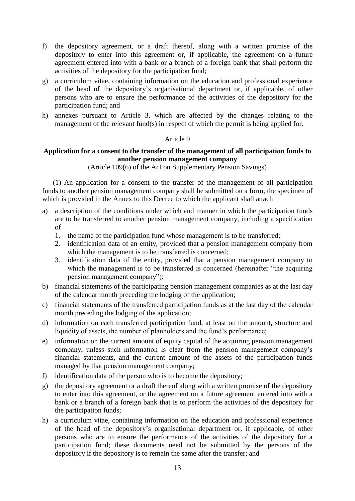- f) the depository agreement, or a draft thereof, along with a written promise of the depository to enter into this agreement or, if applicable, the agreement on a future agreement entered into with a bank or a branch of a foreign bank that shall perform the activities of the depository for the participation fund;
- g) a curriculum vitae, containing information on the education and professional experience of the head of the depository's organisational department or, if applicable, of other persons who are to ensure the performance of the activities of the depository for the participation fund; and
- h) annexes pursuant to Article 3, which are affected by the changes relating to the management of the relevant fund(s) in respect of which the permit is being applied for.

### Article 9

### **Application for a consent to the transfer of the management of all participation funds to another pension management company**

(Article 109(6) of the Act on Supplementary Pension Savings)

(1) An application for a consent to the transfer of the management of all participation funds to another pension management company shall be submitted on a form, the specimen of which is provided in the Annex to this Decree to which the applicant shall attach

- a) a description of the conditions under which and manner in which the participation funds are to be transferred to another pension management company, including a specification of
	- 1. the name of the participation fund whose management is to be transferred;
	- 2. identification data of an entity, provided that a pension management company from which the management is to be transferred is concerned;
	- 3. identification data of the entity, provided that a pension management company to which the management is to be transferred is concerned (hereinafter "the acquiring pension management company");
- b) financial statements of the participating pension management companies as at the last day of the calendar month preceding the lodging of the application;
- c) financial statements of the transferred participation funds as at the last day of the calendar month preceding the lodging of the application;
- d) information on each transferred participation fund, at least on the amount, structure and liquidity of assets, the number of planholders and the fund's performance;
- e) information on the current amount of equity capital of the acquiring pension management company, unless such information is clear from the pension management company's financial statements, and the current amount of the assets of the participation funds managed by that pension management company;
- f) identification data of the person who is to become the depository;
- g) the depository agreement or a draft thereof along with a written promise of the depository to enter into this agreement, or the agreement on a future agreement entered into with a bank or a branch of a foreign bank that is to perform the activities of the depository for the participation funds;
- h) a curriculum vitae, containing information on the education and professional experience of the head of the depository's organisational department or, if applicable, of other persons who are to ensure the performance of the activities of the depository for a participation fund; these documents need not be submitted by the persons of the depository if the depository is to remain the same after the transfer; and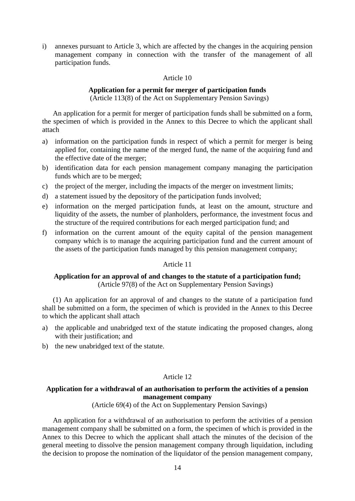i) annexes pursuant to Article 3, which are affected by the changes in the acquiring pension management company in connection with the transfer of the management of all participation funds.

#### Article 10

#### **Application for a permit for merger of participation funds**  (Article 113(8) of the Act on Supplementary Pension Savings)

An application for a permit for merger of participation funds shall be submitted on a form, the specimen of which is provided in the Annex to this Decree to which the applicant shall attach

- a) information on the participation funds in respect of which a permit for merger is being applied for, containing the name of the merged fund, the name of the acquiring fund and the effective date of the merger;
- b) identification data for each pension management company managing the participation funds which are to be merged;
- c) the project of the merger, including the impacts of the merger on investment limits;
- d) a statement issued by the depository of the participation funds involved;
- e) information on the merged participation funds, at least on the amount, structure and liquidity of the assets, the number of planholders, performance, the investment focus and the structure of the required contributions for each merged participation fund; and
- f) information on the current amount of the equity capital of the pension management company which is to manage the acquiring participation fund and the current amount of the assets of the participation funds managed by this pension management company;

#### Article 11

### **Application for an approval of and changes to the statute of a participation fund;**  (Article 97(8) of the Act on Supplementary Pension Savings)

(1) An application for an approval of and changes to the statute of a participation fund shall be submitted on a form, the specimen of which is provided in the Annex to this Decree to which the applicant shall attach

- a) the applicable and unabridged text of the statute indicating the proposed changes, along with their justification; and
- b) the new unabridged text of the statute.

### Article 12

### **Application for a withdrawal of an authorisation to perform the activities of a pension management company**

(Article 69(4) of the Act on Supplementary Pension Savings)

An application for a withdrawal of an authorisation to perform the activities of a pension management company shall be submitted on a form, the specimen of which is provided in the Annex to this Decree to which the applicant shall attach the minutes of the decision of the general meeting to dissolve the pension management company through liquidation, including the decision to propose the nomination of the liquidator of the pension management company,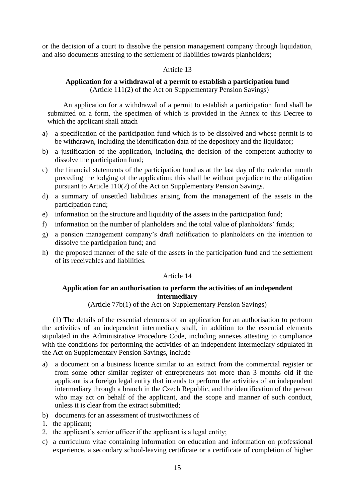or the decision of a court to dissolve the pension management company through liquidation, and also documents attesting to the settlement of liabilities towards planholders;

### Article 13

#### **Application for a withdrawal of a permit to establish a participation fund** (Article 111(2) of the Act on Supplementary Pension Savings)

An application for a withdrawal of a permit to establish a participation fund shall be submitted on a form, the specimen of which is provided in the Annex to this Decree to which the applicant shall attach

- a) a specification of the participation fund which is to be dissolved and whose permit is to be withdrawn, including the identification data of the depository and the liquidator;
- b) a justification of the application, including the decision of the competent authority to dissolve the participation fund;
- c) the financial statements of the participation fund as at the last day of the calendar month preceding the lodging of the application; this shall be without prejudice to the obligation pursuant to Article 110(2) of the Act on Supplementary Pension Savings.
- d) a summary of unsettled liabilities arising from the management of the assets in the participation fund;
- e) information on the structure and liquidity of the assets in the participation fund;
- f) information on the number of planholders and the total value of planholders' funds;
- g) a pension management company's draft notification to planholders on the intention to dissolve the participation fund; and
- h) the proposed manner of the sale of the assets in the participation fund and the settlement of its receivables and liabilities.

#### Article 14

#### **Application for an authorisation to perform the activities of an independent intermediary**

### (Article 77b(1) of the Act on Supplementary Pension Savings)

(1) The details of the essential elements of an application for an authorisation to perform the activities of an independent intermediary shall, in addition to the essential elements stipulated in the Administrative Procedure Code, including annexes attesting to compliance with the conditions for performing the activities of an independent intermediary stipulated in the Act on Supplementary Pension Savings, include

- a) a document on a business licence similar to an extract from the commercial register or from some other similar register of entrepreneurs not more than 3 months old if the applicant is a foreign legal entity that intends to perform the activities of an independent intermediary through a branch in the Czech Republic, and the identification of the person who may act on behalf of the applicant, and the scope and manner of such conduct, unless it is clear from the extract submitted;
- b) documents for an assessment of trustworthiness of
- 1. the applicant;
- 2. the applicant's senior officer if the applicant is a legal entity;
- c) a curriculum vitae containing information on education and information on professional experience, a secondary school-leaving certificate or a certificate of completion of higher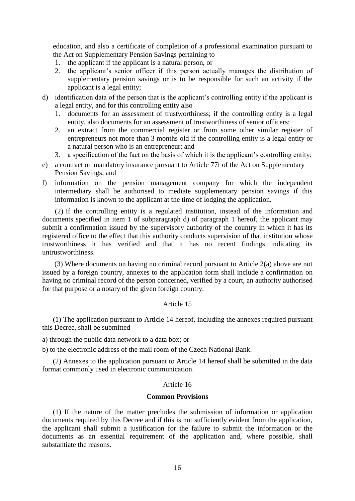education, and also a certificate of completion of a professional examination pursuant to the Act on Supplementary Pension Savings pertaining to

- 1. the applicant if the applicant is a natural person, or
- 2. the applicant's senior officer if this person actually manages the distribution of supplementary pension savings or is to be responsible for such an activity if the applicant is a legal entity;
- d) identification data of the person that is the applicant's controlling entity if the applicant is a legal entity, and for this controlling entity also
	- 1. documents for an assessment of trustworthiness; if the controlling entity is a legal entity, also documents for an assessment of trustworthiness of senior officers;
	- 2. an extract from the commercial register or from some other similar register of entrepreneurs not more than 3 months old if the controlling entity is a legal entity or a natural person who is an entrepreneur; and
	- 3. a specification of the fact on the basis of which it is the applicant's controlling entity;
- e) a contract on mandatory insurance pursuant to Article 77f of the Act on Supplementary Pension Savings; and
- f) information on the pension management company for which the independent intermediary shall be authorised to mediate supplementary pension savings if this information is known to the applicant at the time of lodging the application.

(2) If the controlling entity is a regulated institution, instead of the information and documents specified in item 1 of subparagraph d) of paragraph 1 hereof, the applicant may submit a confirmation issued by the supervisory authority of the country in which it has its registered office to the effect that this authority conducts supervision of that institution whose trustworthiness it has verified and that it has no recent findings indicating its untrustworthiness.

(3) Where documents on having no criminal record pursuant to Article 2(a) above are not issued by a foreign country, annexes to the application form shall include a confirmation on having no criminal record of the person concerned, verified by a court, an authority authorised for that purpose or a notary of the given foreign country.

#### Article 15

(1) The application pursuant to Article 14 hereof, including the annexes required pursuant this Decree, shall be submitted

a) through the public data network to a data box; or

b) to the electronic address of the mail room of the Czech National Bank.

(2) Annexes to the application pursuant to Article 14 hereof shall be submitted in the data format commonly used in electronic communication.

#### Article 16

#### **Common Provisions**

(1) If the nature of the matter precludes the submission of information or application documents required by this Decree and if this is not sufficiently evident from the application, the applicant shall submit a justification for the failure to submit the information or the documents as an essential requirement of the application and, where possible, shall substantiate the reasons.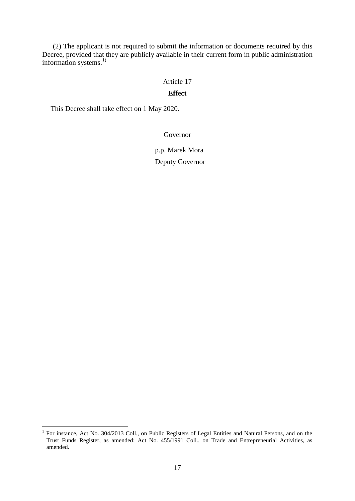(2) The applicant is not required to submit the information or documents required by this Decree, provided that they are publicly available in their current form in public administration information systems. 1)

#### Article 17

#### **Effect**

This Decree shall take effect on 1 May 2020.

1

### Governor

## p.p. Marek Mora Deputy Governor

<sup>&</sup>lt;sup>1</sup> For instance, Act No. 304/2013 Coll., on Public Registers of Legal Entities and Natural Persons, and on the Trust Funds Register, as amended; Act No. 455/1991 Coll., on Trade and Entrepreneurial Activities, as amended.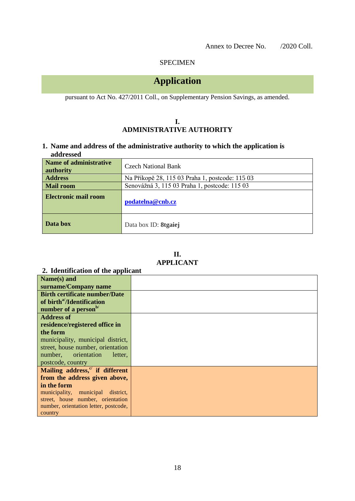### SPECIMEN

# **Application**

pursuant to Act No. 427/2011 Coll., on Supplementary Pension Savings, as amended.

### **I. ADMINISTRATIVE AUTHORITY**

**1. Name and address of the administrative authority to which the application is addressed**

| Name of administrative<br>authority | Czech National Bank                             |
|-------------------------------------|-------------------------------------------------|
| <b>Address</b>                      | Na Příkopě 28, 115 03 Praha 1, postcode: 115 03 |
| <b>Mail room</b>                    | Senovážná 3, 115 03 Praha 1, postcode: 115 03   |
| <b>Electronic mail room</b>         | podatelna@cnb.cz                                |
| Data box                            | Data box ID: <b>8tgaiej</b>                     |

| Н.               |  |
|------------------|--|
| <b>APPLICANT</b> |  |

### **2. Identification of the applicant**

| Name(s) and                                 |  |
|---------------------------------------------|--|
| surname/Company name                        |  |
| <b>Birth certificate number/Date</b>        |  |
| of birth <sup>a/</sup> /Identification      |  |
| number of a person <sup>b/</sup>            |  |
| <b>Address of</b>                           |  |
| residence/registered office in              |  |
| the form                                    |  |
| municipality, municipal district,           |  |
| street, house number, orientation           |  |
| number, orientation<br>letter,              |  |
| postcode, country                           |  |
| Mailing address, <sup>c/</sup> if different |  |
| from the address given above,               |  |
| in the form                                 |  |
| municipality, municipal district,           |  |
| street, house number, orientation           |  |
| number, orientation letter, postcode,       |  |
| country                                     |  |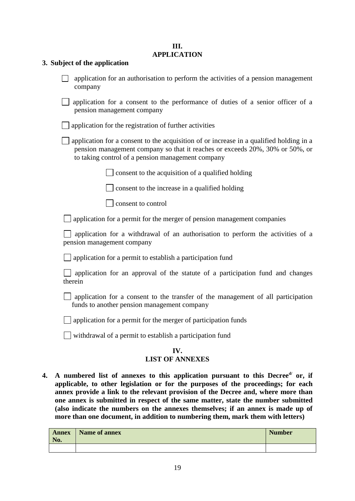### **III. APPLICATION**

### **3. Subject of the application**

#### **IV. LIST OF ANNEXES**

4. A numbered list of annexes to this application pursuant to this Decree<sup>d</sup> or, if **applicable, to other legislation or for the purposes of the proceedings; for each annex provide a link to the relevant provision of the Decree and, where more than one annex is submitted in respect of the same matter, state the number submitted (also indicate the numbers on the annexes themselves; if an annex is made up of more than one document, in addition to numbering them, mark them with letters)** 

| <b>Annex</b><br>No. | <b>Name of annex</b> | <b>Number</b> |
|---------------------|----------------------|---------------|
|                     |                      |               |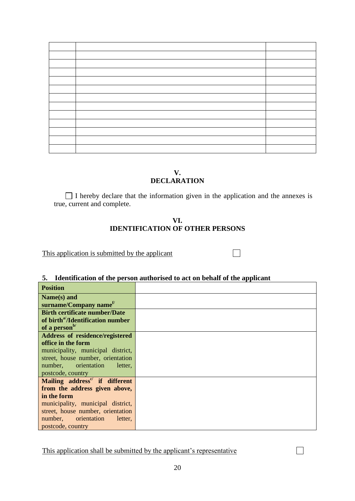### **V. DECLARATION**

I hereby declare that the information given in the application and the annexes is true, current and complete.

 $\Box$ 

 $\Box$ 

### **VI. IDENTIFICATION OF OTHER PERSONS**

This application is submitted by the applicant

### **5. Identification of the person authorised to act on behalf of the applicant**

| <b>Position</b>                               |  |
|-----------------------------------------------|--|
| Name(s) and                                   |  |
| surname/Company name <sup>f/</sup>            |  |
| <b>Birth certificate number/Date</b>          |  |
| of birth <sup>a/</sup> /Identification number |  |
| of a person <sup>b/</sup>                     |  |
| Address of residence/registered               |  |
| office in the form                            |  |
| municipality, municipal district,             |  |
| street, house number, orientation             |  |
| number, orientation<br>letter,                |  |
| postcode, country                             |  |
| Mailing address <sup>c</sup> if different     |  |
| from the address given above,                 |  |
| in the form                                   |  |
| municipality, municipal district,             |  |
| street, house number, orientation             |  |
| number, orientation<br>letter,                |  |
| postcode, country                             |  |

This application shall be submitted by the applicant's representative